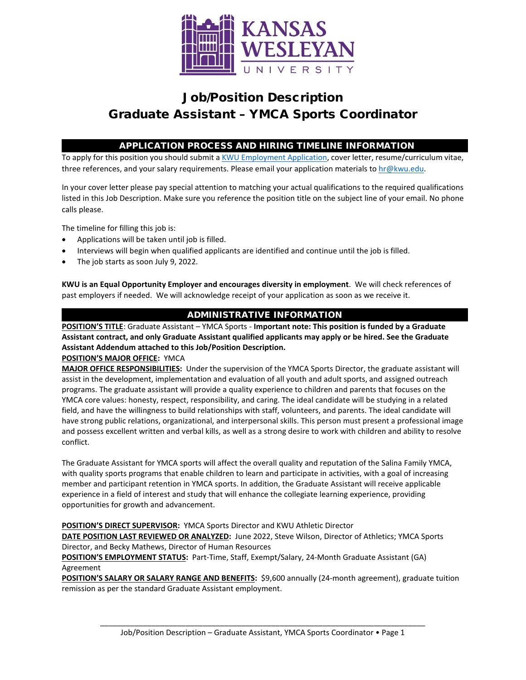

# Job/Position Description Graduate Assistant – YMCA Sports Coordinator

## APPLICATION PROCESS AND HIRING TIMELINE INFORMATION

To apply for this position you should submit [a KWU Employment Application,](https://www.kwu.edu/wp-content/uploads/Employment-Application-Form-ELECTRONIC-Revised-3-.pdf) cover letter, resume/curriculum vitae, three references, and your salary requirements. Please email your application materials to [hr@kwu.edu.](mailto:hr@kwu.edu)

In your cover letter please pay special attention to matching your actual qualifications to the required qualifications listed in this Job Description. Make sure you reference the position title on the subject line of your email. No phone calls please.

The timeline for filling this job is:

- Applications will be taken until job is filled.
- Interviews will begin when qualified applicants are identified and continue until the job is filled.
- The job starts as soon July 9, 2022.

**KWU is an Equal Opportunity Employer and encourages diversity in employment**. We will check references of past employers if needed. We will acknowledge receipt of your application as soon as we receive it.

## ADMINISTRATIVE INFORMATION

**POSITION'S TITLE**: Graduate Assistant – YMCA Sports - **Important note: This position is funded by a Graduate Assistant contract, and only Graduate Assistant qualified applicants may apply or be hired. See the Graduate Assistant Addendum attached to this Job/Position Description.**

**POSITION'S MAJOR OFFICE:** YMCA

**MAJOR OFFICE RESPONSIBILITIES:** Under the supervision of the YMCA Sports Director, the graduate assistant will assist in the development, implementation and evaluation of all youth and adult sports, and assigned outreach programs. The graduate assistant will provide a quality experience to children and parents that focuses on the YMCA core values: honesty, respect, responsibility, and caring. The ideal candidate will be studying in a related field, and have the willingness to build relationships with staff, volunteers, and parents. The ideal candidate will have strong public relations, organizational, and interpersonal skills. This person must present a professional image and possess excellent written and verbal kills, as well as a strong desire to work with children and ability to resolve conflict.

The Graduate Assistant for YMCA sports will affect the overall quality and reputation of the Salina Family YMCA, with quality sports programs that enable children to learn and participate in activities, with a goal of increasing member and participant retention in YMCA sports. In addition, the Graduate Assistant will receive applicable experience in a field of interest and study that will enhance the collegiate learning experience, providing opportunities for growth and advancement.

**POSITION'S DIRECT SUPERVISOR:** YMCA Sports Director and KWU Athletic Director

**DATE POSITION LAST REVIEWED OR ANALYZED:** June 2022, Steve Wilson, Director of Athletics; YMCA Sports Director, and Becky Mathews, Director of Human Resources

**POSITION'S EMPLOYMENT STATUS:** Part-Time, Staff, Exempt/Salary, 24-Month Graduate Assistant (GA) Agreement

**POSITION'S SALARY OR SALARY RANGE AND BENEFITS:** \$9,600 annually (24-month agreement), graduate tuition remission as per the standard Graduate Assistant employment.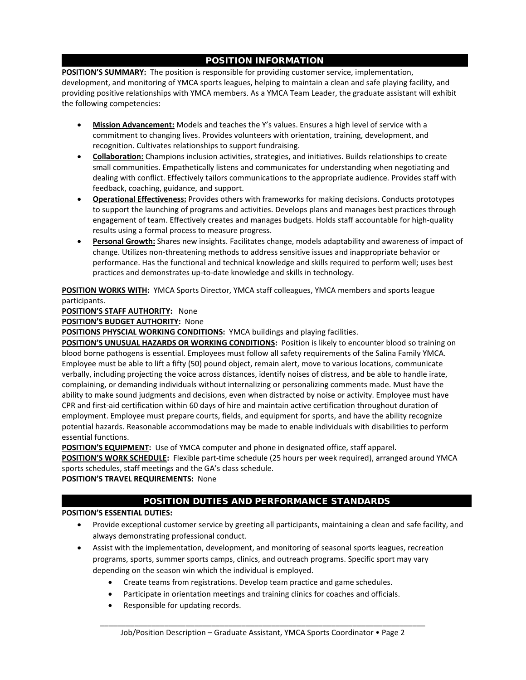## POSITION INFORMATION

**POSITION'S SUMMARY:** The position is responsible for providing customer service, implementation, development, and monitoring of YMCA sports leagues, helping to maintain a clean and safe playing facility, and providing positive relationships with YMCA members. As a YMCA Team Leader, the graduate assistant will exhibit the following competencies:

- **Mission Advancement:** Models and teaches the Y's values. Ensures a high level of service with a commitment to changing lives. Provides volunteers with orientation, training, development, and recognition. Cultivates relationships to support fundraising.
- **Collaboration:** Champions inclusion activities, strategies, and initiatives. Builds relationships to create small communities. Empathetically listens and communicates for understanding when negotiating and dealing with conflict. Effectively tailors communications to the appropriate audience. Provides staff with feedback, coaching, guidance, and support.
- **Operational Effectiveness:** Provides others with frameworks for making decisions. Conducts prototypes to support the launching of programs and activities. Develops plans and manages best practices through engagement of team. Effectively creates and manages budgets. Holds staff accountable for high-quality results using a formal process to measure progress.
- **Personal Growth:** Shares new insights. Facilitates change, models adaptability and awareness of impact of change. Utilizes non-threatening methods to address sensitive issues and inappropriate behavior or performance. Has the functional and technical knowledge and skills required to perform well; uses best practices and demonstrates up-to-date knowledge and skills in technology.

**POSITION WORKS WITH:** YMCA Sports Director, YMCA staff colleagues, YMCA members and sports league participants.

### **POSITION'S STAFF AUTHORITY:** None

**POSITION'S BUDGET AUTHORITY:** None

**POSITIONS PHYSCIAL WORKING CONDITIONS:** YMCA buildings and playing facilities.

**POSITION'S UNUSUAL HAZARDS OR WORKING CONDITIONS:** Position is likely to encounter blood so training on blood borne pathogens is essential. Employees must follow all safety requirements of the Salina Family YMCA. Employee must be able to lift a fifty (50) pound object, remain alert, move to various locations, communicate verbally, including projecting the voice across distances, identify noises of distress, and be able to handle irate, complaining, or demanding individuals without internalizing or personalizing comments made. Must have the ability to make sound judgments and decisions, even when distracted by noise or activity. Employee must have CPR and first-aid certification within 60 days of hire and maintain active certification throughout duration of employment. Employee must prepare courts, fields, and equipment for sports, and have the ability recognize potential hazards. Reasonable accommodations may be made to enable individuals with disabilities to perform essential functions.

**POSITION'S EQUIPMENT:** Use of YMCA computer and phone in designated office, staff apparel.

**POSITION'S WORK SCHEDULE:** Flexible part-time schedule (25 hours per week required), arranged around YMCA sports schedules, staff meetings and the GA's class schedule.

### **POSITION'S TRAVEL REQUIREMENTS:** None

## POSITION DUTIES AND PERFORMANCE STANDARDS

### **POSITION'S ESSENTIAL DUTIES:**

- Provide exceptional customer service by greeting all participants, maintaining a clean and safe facility, and always demonstrating professional conduct.
- Assist with the implementation, development, and monitoring of seasonal sports leagues, recreation programs, sports, summer sports camps, clinics, and outreach programs. Specific sport may vary depending on the season win which the individual is employed.
	- Create teams from registrations. Develop team practice and game schedules.
	- Participate in orientation meetings and training clinics for coaches and officials.
	- Responsible for updating records.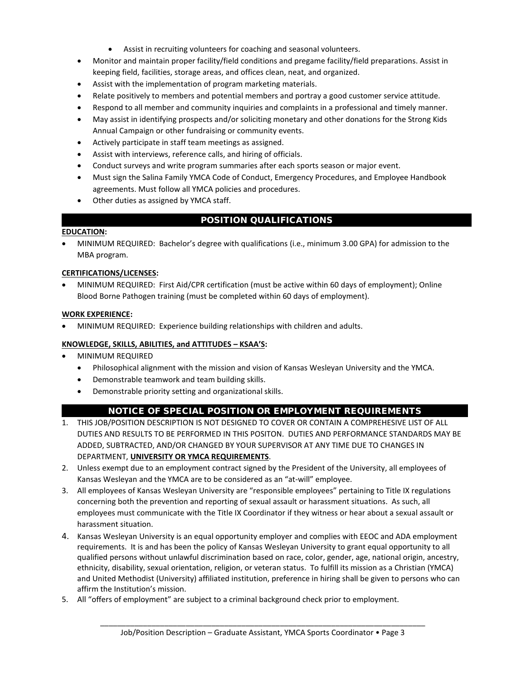- Assist in recruiting volunteers for coaching and seasonal volunteers.
- Monitor and maintain proper facility/field conditions and pregame facility/field preparations. Assist in keeping field, facilities, storage areas, and offices clean, neat, and organized.
- Assist with the implementation of program marketing materials.
- Relate positively to members and potential members and portray a good customer service attitude.
- Respond to all member and community inquiries and complaints in a professional and timely manner.
- May assist in identifying prospects and/or soliciting monetary and other donations for the Strong Kids Annual Campaign or other fundraising or community events.
- Actively participate in staff team meetings as assigned.
- Assist with interviews, reference calls, and hiring of officials.
- Conduct surveys and write program summaries after each sports season or major event.
- Must sign the Salina Family YMCA Code of Conduct, Emergency Procedures, and Employee Handbook agreements. Must follow all YMCA policies and procedures.
- Other duties as assigned by YMCA staff.

## POSITION QUALIFICATIONS

#### **EDUCATION:**

• MINIMUM REQUIRED: Bachelor's degree with qualifications (i.e., minimum 3.00 GPA) for admission to the MBA program.

#### **CERTIFICATIONS/LICENSES:**

• MINIMUM REQUIRED: First Aid/CPR certification (must be active within 60 days of employment); Online Blood Borne Pathogen training (must be completed within 60 days of employment).

#### **WORK EXPERIENCE:**

• MINIMUM REQUIRED: Experience building relationships with children and adults.

#### **KNOWLEDGE, SKILLS, ABILITIES, and ATTITUDES – KSAA'S:**

- MINIMUM REQUIRED
	- Philosophical alignment with the mission and vision of Kansas Wesleyan University and the YMCA.
	- Demonstrable teamwork and team building skills.
	- Demonstrable priority setting and organizational skills.

### NOTICE OF SPECIAL POSITION OR EMPLOYMENT REQUIREMENTS

- 1. THIS JOB/POSITION DESCRIPTION IS NOT DESIGNED TO COVER OR CONTAIN A COMPREHESIVE LIST OF ALL DUTIES AND RESULTS TO BE PERFORMED IN THIS POSITON. DUTIES AND PERFORMANCE STANDARDS MAY BE ADDED, SUBTRACTED, AND/OR CHANGED BY YOUR SUPERVISOR AT ANY TIME DUE TO CHANGES IN DEPARTMENT, **UNIVERSITY OR YMCA REQUIREMENTS**.
- 2. Unless exempt due to an employment contract signed by the President of the University, all employees of Kansas Wesleyan and the YMCA are to be considered as an "at-will" employee.
- 3. All employees of Kansas Wesleyan University are "responsible employees" pertaining to Title IX regulations concerning both the prevention and reporting of sexual assault or harassment situations. As such, all employees must communicate with the Title IX Coordinator if they witness or hear about a sexual assault or harassment situation.
- 4. Kansas Wesleyan University is an equal opportunity employer and complies with EEOC and ADA employment requirements. It is and has been the policy of Kansas Wesleyan University to grant equal opportunity to all qualified persons without unlawful discrimination based on race, color, gender, age, national origin, ancestry, ethnicity, disability, sexual orientation, religion, or veteran status. To fulfill its mission as a Christian (YMCA) and United Methodist (University) affiliated institution, preference in hiring shall be given to persons who can affirm the Institution's mission.
- 5. All "offers of employment" are subject to a criminal background check prior to employment.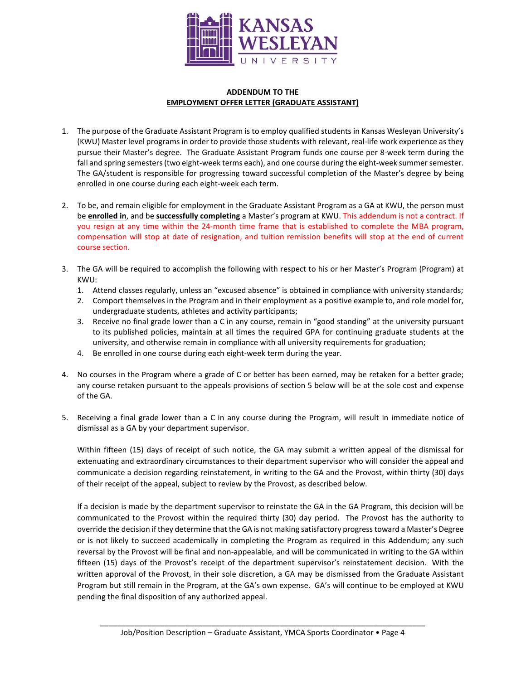

#### **ADDENDUM TO THE EMPLOYMENT OFFER LETTER (GRADUATE ASSISTANT)**

- 1. The purpose of the Graduate Assistant Program is to employ qualified students in Kansas Wesleyan University's (KWU) Master level programs in order to provide those students with relevant, real-life work experience as they pursue their Master's degree. The Graduate Assistant Program funds one course per 8-week term during the fall and spring semesters (two eight-week terms each), and one course during the eight-week summer semester. The GA/student is responsible for progressing toward successful completion of the Master's degree by being enrolled in one course during each eight-week each term.
- 2. To be, and remain eligible for employment in the Graduate Assistant Program as a GA at KWU, the person must be **enrolled in**, and be **successfully completing** a Master's program at KWU. This addendum is not a contract. If you resign at any time within the 24-month time frame that is established to complete the MBA program, compensation will stop at date of resignation, and tuition remission benefits will stop at the end of current course section.
- 3. The GA will be required to accomplish the following with respect to his or her Master's Program (Program) at KWU:
	- 1. Attend classes regularly, unless an "excused absence" is obtained in compliance with university standards;
	- 2. Comport themselves in the Program and in their employment as a positive example to, and role model for, undergraduate students, athletes and activity participants;
	- 3. Receive no final grade lower than a C in any course, remain in "good standing" at the university pursuant to its published policies, maintain at all times the required GPA for continuing graduate students at the university, and otherwise remain in compliance with all university requirements for graduation;
	- 4. Be enrolled in one course during each eight-week term during the year.
- 4. No courses in the Program where a grade of C or better has been earned, may be retaken for a better grade; any course retaken pursuant to the appeals provisions of section 5 below will be at the sole cost and expense of the GA.
- 5. Receiving a final grade lower than a C in any course during the Program, will result in immediate notice of dismissal as a GA by your department supervisor.

Within fifteen (15) days of receipt of such notice, the GA may submit a written appeal of the dismissal for extenuating and extraordinary circumstances to their department supervisor who will consider the appeal and communicate a decision regarding reinstatement, in writing to the GA and the Provost, within thirty (30) days of their receipt of the appeal, subject to review by the Provost, as described below.

If a decision is made by the department supervisor to reinstate the GA in the GA Program, this decision will be communicated to the Provost within the required thirty (30) day period. The Provost has the authority to override the decision if they determine that the GA is not making satisfactory progress toward a Master's Degree or is not likely to succeed academically in completing the Program as required in this Addendum; any such reversal by the Provost will be final and non-appealable, and will be communicated in writing to the GA within fifteen (15) days of the Provost's receipt of the department supervisor's reinstatement decision. With the written approval of the Provost, in their sole discretion, a GA may be dismissed from the Graduate Assistant Program but still remain in the Program, at the GA's own expense. GA's will continue to be employed at KWU pending the final disposition of any authorized appeal.